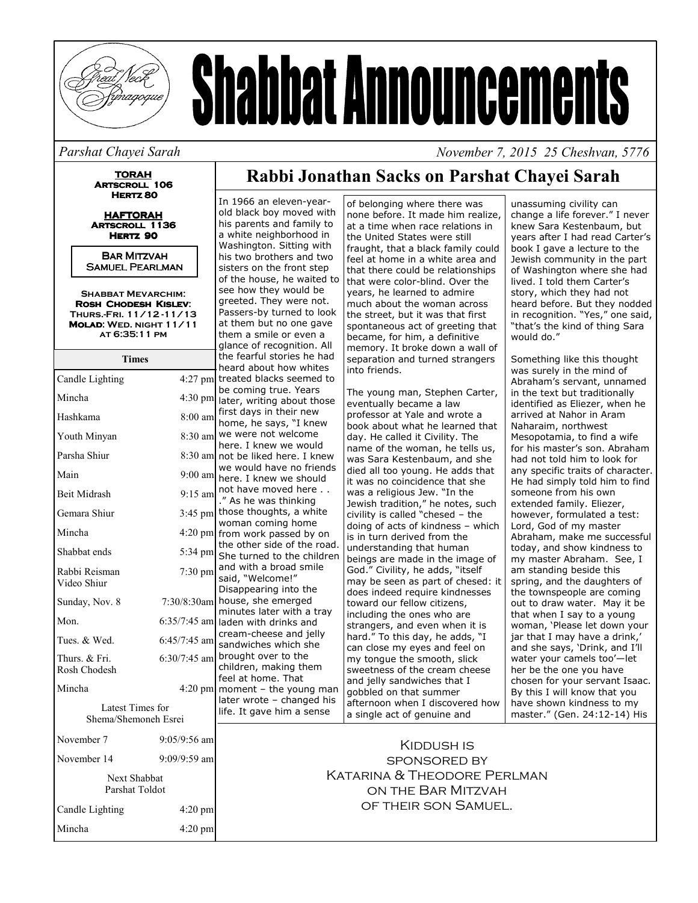

# **Shabbat Announcements**

#### Parshat Chayei Sarah

**TORAH** ARTSCROLL 106 HERTZ<sub>80</sub>

**HAFTORAH ARTSCROLL 1136** HERTZ 90

**BAR MITZVAH SAMUEL PEARLMAN** 

**SHABBAT MEVARCHIM:** ROSH CHODESH KISLEV: THURS-FRI. 11/12-11/13 MOLAD: WED. NIGHT 11/11 AT 6:35:11 PM

| <b>Times</b>                             |                   | tł<br>h      |
|------------------------------------------|-------------------|--------------|
| Candle Lighting                          | $4:27$ pm         | tr           |
| Mincha                                   | $4:30 \text{ pm}$ | b<br>la      |
| Hashkama                                 | 8:00 am           | fi<br>h      |
| Youth Minyan                             | $8:30 \text{ am}$ | W<br>h       |
| Parsha Shiur                             | 8:30 am           | n            |
| Main                                     | $9:00$ am         | W<br>h       |
| <b>Beit Midrash</b>                      | $9:15$ am         | n            |
| Gemara Shiur                             | $3:45$ pm         | tł<br>W      |
| Mincha                                   | $4:20$ pm         | fr           |
| Shabbat ends                             | 5:34 pm           | tł<br>S      |
| Rabbi Reisman<br>Video Shiur             | $7:30$ pm         | a<br>S,<br>D |
| Sunday, Nov. 8                           | 7:30/8:30am       | h<br>'n      |
| Mon.                                     | $6:35/7:45$ am    | la           |
| Tues. & Wed.                             | $6:45/7:45$ am    | C<br>S,      |
| Thurs. & Fri.<br>Rosh Chodesh            | $6:30/7:45$ am    | b<br>Ċ<br>f  |
| Mincha                                   | 4:20 pm           | m            |
| Latest Times for<br>Shema/Shemoneh Esrei |                   | Ιa<br>li     |
| November 7                               | 9:05/9:56 am      |              |
| November 14                              | $9:09/9:59$ am    |              |
| Next Shabbat<br>Parshat Toldot           |                   |              |

 $4:20$  pm 4:20 pm

Candle Lighting

Mincha

### Rabbi Jonathan Sacks on Parshat Chayei Sarah

In 1966 an eleven-yearold black boy moved with his parents and family to a white neighborhood in Washington. Sitting with his two brothers and two sisters on the front step of the house, he waited to see how they would be greeted. They were not. Passers-by turned to look at them but no one gave them a smile or even a glance of recognition. All he fearful stories he had eard about how whites reated blacks seemed to e coming true. Years ater, writing about those irst days in their new ome, he says, "I knew ve were not welcome ere. I knew we would ot be liked here. I knew ve would have no friends ere. I knew we should ot have moved here As he was thinking hose thoughts, a white voman coming home rom work passed by on he other side of the road. he turned to the children and with a broad smile aid, "Welcome!" lisappearing into the ouse, she emerged ninutes later with a trav aden with drinks and ream-cheese and jelly andwiches which she rought over to the hildren, making them eel at home. That noment - the young man ater wrote - changed his ife. It gave him a sense

of belonging where there was none before. It made him realize, at a time when race relations in the United States were still fraught, that a black family could feel at home in a white area and that there could be relationships that were color-blind. Over the vears, he learned to admire much about the woman across the street, but it was that first spontaneous act of greeting that became, for him, a definitive memory. It broke down a wall of separation and turned strangers into friends.

The young man, Stephen Carter, eventually became a law professor at Yale and wrote a book about what he learned that day. He called it Civility. The name of the woman, he tells us, was Sara Kestenbaum, and she died all too voung. He adds that it was no coincidence that she was a religious Jew. "In the Jewish tradition," he notes, such civility is called "chesed - the doing of acts of kindness - which is in turn derived from the understanding that human beings are made in the image of God." Civility, he adds, "itself may be seen as part of chesed: it does indeed require kindnesses toward our fellow citizens, including the ones who are strangers, and even when it is hard." To this day, he adds, "I can close my eyes and feel on my tonque the smooth, slick sweetness of the cream cheese and jelly sandwiches that I gobbled on that summer afternoon when I discovered how a single act of genuine and

unassuming civility can change a life forever." I never knew Sara Kestenbaum, but years after I had read Carter's book I gave a lecture to the Jewish community in the part of Washington where she had lived. I told them Carter's story, which they had not heard before. But they nodded in recognition. "Yes," one said, "that's the kind of thing Sara would do."

November 7, 2015 25 Cheshvan, 5776

Something like this thought was surely in the mind of Abraham's servant, unnamed in the text but traditionally identified as Eliezer, when he arrived at Nahor in Aram Naharaim, northwest Mesopotamia, to find a wife for his master's son. Abraham had not told him to look for any specific traits of character. He had simply told him to find someone from his own extended family. Eliezer, however, formulated a test: Lord, God of my master Abraham, make me successful today, and show kindness to my master Abraham. See, I am standing beside this spring, and the daughters of the townspeople are coming out to draw water. May it be that when I say to a young woman, 'Please let down your jar that I may have a drink,' and she says, 'Drink, and I'll water your camels too'-let her be the one you have chosen for your servant Isaac. By this I will know that you have shown kindness to my master." (Gen. 24:12-14) His

KIDDUSH IS **SPONSORED BY KATARINA & THEODORE PERLMAN** ON THE BAR MITZVAH OF THEIR SON SAMUEL.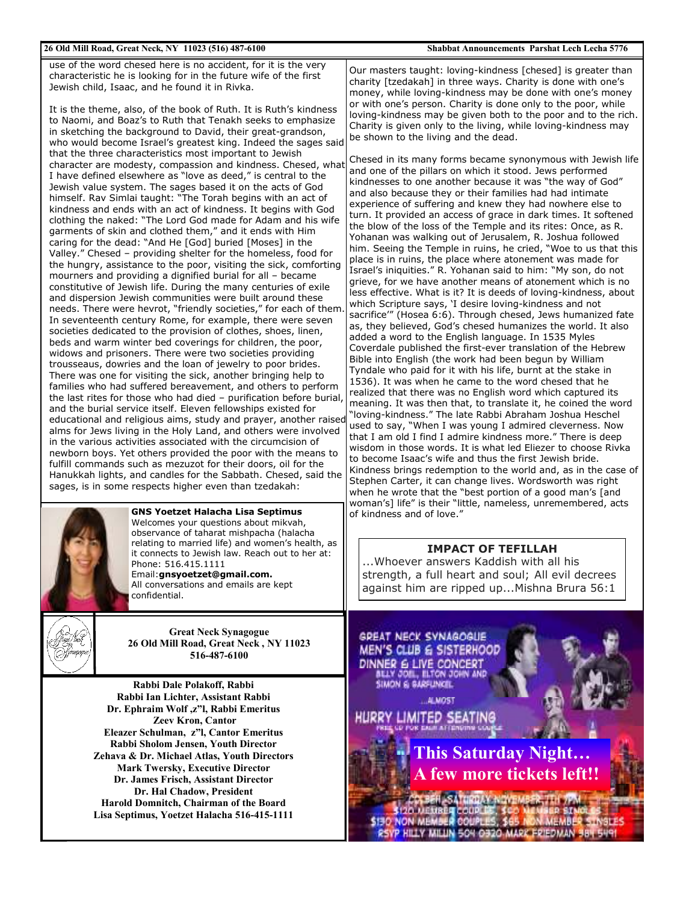#### 26 Old Mill Road, Great Neck, NY 11023 (516) 487-6100

use of the word chesed here is no accident, for it is the very characteristic he is looking for in the future wife of the first Jewish child, Isaac, and he found it in Rivka.

It is the theme, also, of the book of Ruth. It is Ruth's kindness to Naomi, and Boaz's to Ruth that Tenakh seeks to emphasize in sketching the background to David, their great-grandson, who would become Israel's greatest king. Indeed the sages said that the three characteristics most important to Jewish character are modesty, compassion and kindness. Chesed, what I have defined elsewhere as "love as deed," is central to the Jewish value system. The sages based it on the acts of God himself. Rav Simlai taught: "The Torah begins with an act of kindness and ends with an act of kindness. It begins with God clothing the naked: "The Lord God made for Adam and his wife garments of skin and clothed them," and it ends with Him caring for the dead: "And He [God] buried [Moses] in the Valley." Chesed - providing shelter for the homeless, food for the hungry, assistance to the poor, visiting the sick, comforting mourners and providing a dignified burial for all - became constitutive of Jewish life. During the many centuries of exile and dispersion Jewish communities were built around these needs. There were hevrot, "friendly societies," for each of them. In seventeenth century Rome, for example, there were seven societies dedicated to the provision of clothes, shoes, linen, beds and warm winter bed coverings for children, the poor, widows and prisoners. There were two societies providing trousseaus, dowries and the loan of jewelry to poor brides. There was one for visiting the sick, another bringing help to families who had suffered bereavement, and others to perform the last rites for those who had died - purification before burial. and the burial service itself. Eleven fellowships existed for educational and religious aims, study and prayer, another raised alms for Jews living in the Holy Land, and others were involved in the various activities associated with the circumcision of newborn boys. Yet others provided the poor with the means to fulfill commands such as mezuzot for their doors, oil for the Hanukkah lights, and candles for the Sabbath. Chesed, said the sages, is in some respects higher even than tzedakah:



**GNS Yoetzet Halacha Lisa Septimus** Welcomes your questions about mikvah, observance of taharat mishpacha (halacha relating to married life) and women's health, as it connects to Jewish law. Reach out to her at: Phone: 516 415 1111 Email:gnsyoetzet@gmail.com.

All conversations and emails are kept confidential.



**Great Neck Synagogue** 26 Old Mill Road, Great Neck, NY 11023 516-487-6100

Rabbi Dale Polakoff, Rabbi Rabbi Ian Lichter, Assistant Rabbi Dr. Ephraim Wolf, z"l, Rabbi Emeritus Zeev Kron, Cantor Eleazer Schulman, z"l. Cantor Emeritus Rabbi Sholom Jensen, Youth Director Zehava & Dr. Michael Atlas, Youth Directors **Mark Twersky, Executive Director** Dr. James Frisch, Assistant Director Dr. Hal Chadow, President Harold Domnitch, Chairman of the Board Lisa Septimus, Yoetzet Halacha 516-415-1111 Our masters taught: loving-kindness [chesed] is greater than charity [tzedakah] in three ways. Charity is done with one's money, while loving-kindness may be done with one's money or with one's person. Charity is done only to the poor, while loving-kindness may be given both to the poor and to the rich. Charity is given only to the living, while loving-kindness may be shown to the living and the dead.

Chesed in its many forms became synonymous with Jewish life and one of the pillars on which it stood. Jews performed kindnesses to one another because it was "the way of God" and also because they or their families had had intimate experience of suffering and knew they had nowhere else to turn. It provided an access of grace in dark times. It softened the blow of the loss of the Temple and its rites: Once, as R. Yohanan was walking out of Jerusalem, R. Joshua followed him. Seeing the Temple in ruins, he cried, "Woe to us that this place is in ruins, the place where atonement was made for Israel's iniquities." R. Yohanan said to him: "My son, do not grieve, for we have another means of atonement which is no less effective. What is it? It is deeds of loving-kindness, about which Scripture says, 'I desire loving-kindness and not sacrifice'" (Hosea 6:6). Through chesed, Jews humanized fate as, they believed, God's chesed humanizes the world. It also added a word to the English language. In 1535 Myles Coverdale published the first-ever translation of the Hebrew Bible into English (the work had been begun by William Tyndale who paid for it with his life, burnt at the stake in 1536). It was when he came to the word chesed that he realized that there was no English word which captured its meaning. It was then that, to translate it, he coined the word 'loving-kindness." The late Rabbi Abraham Joshua Heschel used to say, "When I was young I admired cleverness. Now that I am old I find I admire kindness more." There is deep wisdom in those words. It is what led Eliezer to choose Rivka to become Isaac's wife and thus the first Jewish bride. Kindness brings redemption to the world and, as in the case of Stephen Carter, it can change lives. Wordsworth was right when he wrote that the "best portion of a good man's [and woman's] life" is their "little, nameless, unremembered, acts of kindness and of love."

#### **IMPACT OF TEFILLAH**

...Whoever answers Kaddish with all his strength, a full heart and soul; All evil decrees against him are ripped up...Mishna Brura 56:1

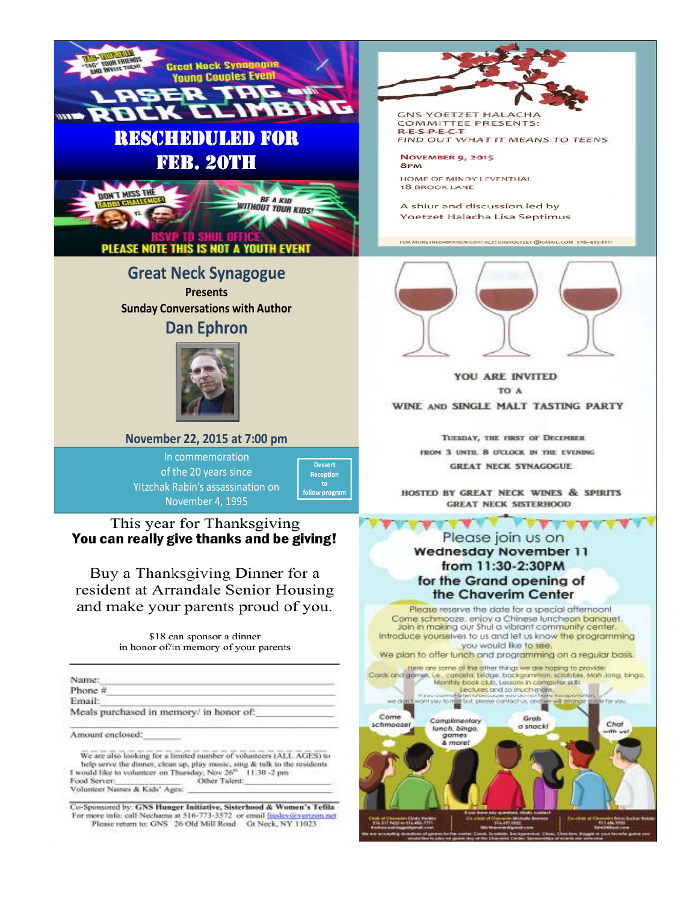